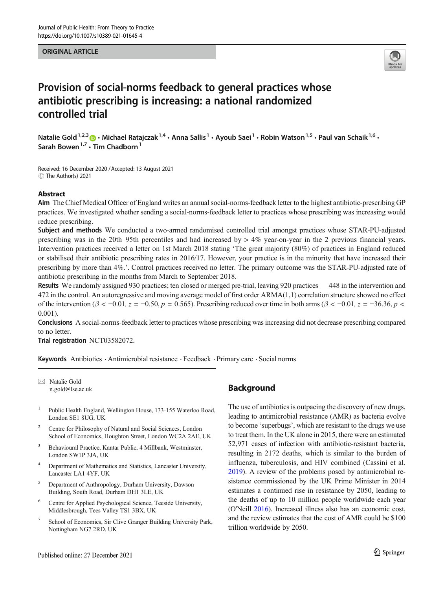#### ORIGINAL ARTICLE



# Provision of social-norms feedback to general practices whose antibiotic prescribing is increasing: a national randomized controlled trial

Natalie Gold<sup>1,2,3</sup>  $\odot$  • Michael Ratajczak<sup>1,4</sup> • Anna Sallis<sup>1</sup> • Ayoub Saei<sup>1</sup> • Robin Watson<sup>1,5</sup> • Paul van Schaik<sup>1,6</sup> • Sarah Bowen<sup>1,7</sup>  $\cdot$  Tim Chadborn<sup>1</sup>

Received: 16 December 2020 /Accepted: 13 August 2021  $\circledcirc$  The Author(s) 2021

## Abstract

Aim The Chief Medical Officer of England writes an annual social-norms-feedback letter to the highest antibiotic-prescribing GP practices. We investigated whether sending a social-norms-feedback letter to practices whose prescribing was increasing would reduce prescribing.

Subject and methods We conducted a two-armed randomised controlled trial amongst practices whose STAR-PU-adjusted prescribing was in the 20th–95th percentiles and had increased by > 4% year-on-year in the 2 previous financial years. Intervention practices received a letter on 1st March 2018 stating 'The great majority (80%) of practices in England reduced or stabilised their antibiotic prescribing rates in 2016/17. However, your practice is in the minority that have increased their prescribing by more than 4%.'. Control practices received no letter. The primary outcome was the STAR-PU-adjusted rate of antibiotic prescribing in the months from March to September 2018.

Results We randomly assigned 930 practices; ten closed or merged pre-trial, leaving 920 practices — 448 in the intervention and 472 in the control. An autoregressive and moving average model of first order ARMA(1,1) correlation structure showed no effect of the intervention ( $\beta < -0.01$ ,  $z = -0.50$ ,  $p = 0.565$ ). Prescribing reduced over time in both arms ( $\beta < -0.01$ ,  $z = -36.36$ ,  $p <$ 0.001).

Conclusions A social-norms-feedback letter to practices whose prescribing was increasing did not decrease prescribing compared to no letter.

Trial registration NCT03582072.

Keywords Antibiotics . Antimicrobial resistance . Feedback . Primary care . Social norms

 $\boxtimes$  Natalie Gold [n.gold@lse.ac.uk](mailto:n.gold@lse.ac.uk)

- <sup>1</sup> Public Health England, Wellington House, 133-155 Waterloo Road, London SE1 8UG, UK
- <sup>2</sup> Centre for Philosophy of Natural and Social Sciences, London School of Economics, Houghton Street, London WC2A 2AE, UK
- <sup>3</sup> Behavioural Practice, Kantar Public, 4 Millbank, Westminster, London SW1P 3JA, UK
- <sup>4</sup> Department of Mathematics and Statistics, Lancaster University, Lancaster LA1 4YF, UK
- <sup>5</sup> Department of Anthropology, Durham University, Dawson Building, South Road, Durham DH1 3LE, UK
- <sup>6</sup> Centre for Applied Psychological Science, Teeside University, Middlesbrough, Tees Valley TS1 3BX, UK
- <sup>7</sup> School of Economics, Sir Clive Granger Building University Park, Nottingham NG7 2RD, UK

# **Background**

The use of antibiotics is outpacing the discovery of new drugs, leading to antimicrobial resistance (AMR) as bacteria evolve to become 'superbugs', which are resistant to the drugs we use to treat them. In the UK alone in 2015, there were an estimated 52,971 cases of infection with antibiotic-resistant bacteria, resulting in 2172 deaths, which is similar to the burden of influenza, tuberculosis, and HIV combined (Cassini et al. [2019\)](#page-6-0). A review of the problems posed by antimicrobial resistance commissioned by the UK Prime Minister in 2014 estimates a continued rise in resistance by 2050, leading to the deaths of up to 10 million people worldwide each year (O'Neill [2016](#page-7-0)). Increased illness also has an economic cost, and the review estimates that the cost of AMR could be \$100 trillion worldwide by 2050.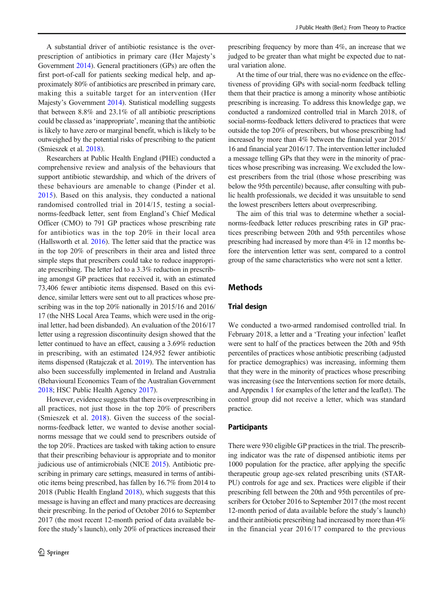A substantial driver of antibiotic resistance is the overprescription of antibiotics in primary care (Her Majesty's Government [2014](#page-6-0)). General practitioners (GPs) are often the first port-of-call for patients seeking medical help, and approximately 80% of antibiotics are prescribed in primary care, making this a suitable target for an intervention (Her Majesty's Government [2014\)](#page-6-0). Statistical modelling suggests that between 8.8% and 23.1% of all antibiotic prescriptions could be classed as'inappropriate', meaning that the antibiotic is likely to have zero or marginal benefit, which is likely to be outweighed by the potential risks of prescribing to the patient (Smieszek et al. [2018\)](#page-7-0).

Researchers at Public Health England (PHE) conducted a comprehensive review and analysis of the behaviours that support antibiotic stewardship, and which of the drivers of these behaviours are amenable to change (Pinder et al. [2015](#page-7-0)). Based on this analysis, they conducted a national randomised controlled trial in 2014/15, testing a socialnorms-feedback letter, sent from England's Chief Medical Officer (CMO) to 791 GP practices whose prescribing rate for antibiotics was in the top 20% in their local area (Hallsworth et al. [2016\)](#page-6-0). The letter said that the practice was in the top 20% of prescribers in their area and listed three simple steps that prescribers could take to reduce inappropriate prescribing. The letter led to a 3.3% reduction in prescribing amongst GP practices that received it, with an estimated 73,406 fewer antibiotic items dispensed. Based on this evidence, similar letters were sent out to all practices whose prescribing was in the top 20% nationally in 2015/16 and 2016/ 17 (the NHS Local Area Teams, which were used in the original letter, had been disbanded). An evaluation of the 2016/17 letter using a regression discontinuity design showed that the letter continued to have an effect, causing a 3.69% reduction in prescribing, with an estimated 124,952 fewer antibiotic items dispensed (Ratajczak et al. [2019\)](#page-7-0). The intervention has also been successfully implemented in Ireland and Australia (Behavioural Economics Team of the Australian Government [2018;](#page-6-0) HSC Public Health Agency [2017\)](#page-6-0).

However, evidence suggests that there is overprescribing in all practices, not just those in the top 20% of prescribers (Smieszek et al. [2018](#page-7-0)). Given the success of the socialnorms-feedback letter, we wanted to devise another socialnorms message that we could send to prescribers outside of the top 20%. Practices are tasked with taking action to ensure that their prescribing behaviour is appropriate and to monitor judicious use of antimicrobials (NICE [2015\)](#page-7-0). Antibiotic prescribing in primary care settings, measured in terms of antibiotic items being prescribed, has fallen by 16.7% from 2014 to 2018 (Public Health England [2018](#page-7-0)), which suggests that this message is having an effect and many practices are decreasing their prescribing. In the period of October 2016 to September 2017 (the most recent 12-month period of data available before the study's launch), only 20% of practices increased their

prescribing frequency by more than 4%, an increase that we judged to be greater than what might be expected due to natural variation alone.

At the time of our trial, there was no evidence on the effectiveness of providing GPs with social-norm feedback telling them that their practice is among a minority whose antibiotic prescribing is increasing. To address this knowledge gap, we conducted a randomized controlled trial in March 2018, of social-norms-feedback letters delivered to practices that were outside the top 20% of prescribers, but whose prescribing had increased by more than 4% between the financial year 2015/ 16 and financial year 2016/17. The intervention letter included a message telling GPs that they were in the minority of practices whose prescribing was increasing. We excluded the lowest prescribers from the trial (those whose prescribing was below the 95th percentile) because, after consulting with public health professionals, we decided it was unsuitable to send the lowest prescribers letters about overprescribing.

The aim of this trial was to determine whether a socialnorms-feedback letter reduces prescribing rates in GP practices prescribing between 20th and 95th percentiles whose prescribing had increased by more than 4% in 12 months before the intervention letter was sent, compared to a control group of the same characteristics who were not sent a letter.

## Methods

#### Trial design

We conducted a two-armed randomised controlled trial. In February 2018, a letter and a 'Treating your infection' leaflet were sent to half of the practices between the 20th and 95th percentiles of practices whose antibiotic prescribing (adjusted for practice demographics) was increasing, informing them that they were in the minority of practices whose prescribing was increasing (see the Interventions section for more details, and Appendix 1 for examples of the letter and the leaflet). The control group did not receive a letter, which was standard practice.

#### Participants

There were 930 eligible GP practices in the trial. The prescribing indicator was the rate of dispensed antibiotic items per 1000 population for the practice, after applying the specific therapeutic group age-sex related prescribing units (STAR-PU) controls for age and sex. Practices were eligible if their prescribing fell between the 20th and 95th percentiles of prescribers for October 2016 to September 2017 (the most recent 12-month period of data available before the study's launch) and their antibiotic prescribing had increased by more than 4% in the financial year 2016/17 compared to the previous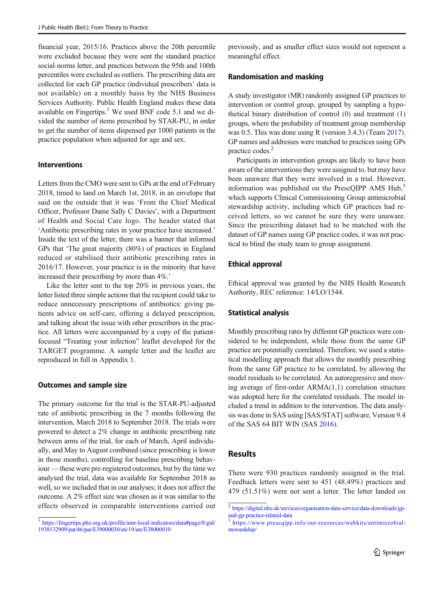financial year, 2015/16. Practices above the 20th percentile were excluded because they were sent the standard practice social-norms letter, and practices between the 95th and 100th percentiles were excluded as outliers. The prescribing data are collected for each GP practice (individual prescribers' data is not available) on a monthly basis by the NHS Business Services Authority. Public Health England makes these data available on  $F{\rm in}$ gertips.<sup>1</sup> We used BNF code 5.1 and we divided the number of items prescribed by STAR-PU, in order to get the number of items dispensed per 1000 patients in the practice population when adjusted for age and sex.

## Interventions

Letters from the CMO were sent to GPs at the end of February 2018, timed to land on March 1st, 2018, in an envelope that said on the outside that it was 'From the Chief Medical Officer, Professor Dame Sally C Davies', with a Department of Health and Social Care logo. The header stated that 'Antibiotic prescribing rates in your practice have increased.' Inside the text of the letter, there was a banner that informed GPs that 'The great majority (80%) of practices in England reduced or stabilised their antibiotic prescribing rates in 2016/17. However, your practice is in the minority that have increased their prescribing by more than 4%.'

Like the letter sent to the top 20% in previous years, the letter listed three simple actions that the recipient could take to reduce unnecessary prescriptions of antibiotics: giving patients advice on self-care, offering a delayed prescription, and talking about the issue with other prescribers in the practice. All letters were accompanied by a copy of the patientfocused "Treating your infection" leaflet developed for the TARGET programme. A sample letter and the leaflet are reproduced in full in Appendix 1.

#### Outcomes and sample size

The primary outcome for the trial is the STAR-PU-adjusted rate of antibiotic prescribing in the 7 months following the intervention, March 2018 to September 2018. The trials were powered to detect a 2% change in antibiotic prescribing rate between arms of the trial, for each of March, April individually, and May to August combined (since prescribing is lower in those months), controlling for baseline prescribing behaviour — these were pre-registered outcomes, but by the time we analysed the trial, data was available for September 2018 as well, so we included that in our analyses; it does not affect the outcome. A 2% effect size was chosen as it was similar to the effects observed in comparable interventions carried out

previously, and as smaller effect sizes would not represent a meaningful effect.

#### Randomisation and masking

A study investigator (MR) randomly assigned GP practices to intervention or control group, grouped by sampling a hypothetical binary distribution of control (0) and treatment (1) groups, where the probability of treatment group membership was 0.5. This was done using R (version 3.4.3) (Team [2017\)](#page-7-0). GP names and addresses were matched to practices using GPs practice codes.<sup>2</sup>

Participants in intervention groups are likely to have been aware of the interventions they were assigned to, but may have been unaware that they were involved in a trial. However, information was published on the PrescOIPP AMS Hub.<sup>3</sup> which supports Clinical Commissioning Group antimicrobial stewardship activity, including which GP practices had received letters, so we cannot be sure they were unaware. Since the prescribing dataset had to be matched with the dataset of GP names using GP practice codes, it was not practical to blind the study team to group assignment.

#### Ethical approval

Ethical approval was granted by the NHS Health Research Authority, REC reference: 14/LO/1544.

#### Statistical analysis

Monthly prescribing rates by different GP practices were considered to be independent, while those from the same GP practice are potentially correlated. Therefore, we used a statistical modelling approach that allows the monthly prescribing from the same GP practice to be correlated, by allowing the model residuals to be correlated. An autoregressive and moving average of first-order ARMA(1,1) correlation structure was adopted here for the correlated residuals. The model included a trend in addition to the intervention. The data analysis was done in SAS using [SAS/STAT] software, Version 9.4 of the SAS 64 BIT WIN (SAS [2016](#page-7-0)).

## Results

There were 930 practices randomly assigned in the trial. Feedback letters were sent to 451 (48.49%) practices and 479 (51.51%) were not sent a letter. The letter landed on

 $1$ [https://fingertips.phe.org.uk/profile/amr-local-indicators/data#page/0/gid/](https://fingertips.phe.org.uk/profile/amr-local-indicators/data#page/0/gid/1938132909/pat/46/par/E39000030/ati/19/are/E38000010) [1938132909/pat/46/par/E39000030/ati/19/are/E38000010](https://fingertips.phe.org.uk/profile/amr-local-indicators/data#page/0/gid/1938132909/pat/46/par/E39000030/ati/19/are/E38000010)

<sup>2</sup> [https://digital.nhs.uk/services/organisation-data-service/data-downloads/gp](https://digital.nhs.uk/services/organisation-data-service/data-downloads/gp-and-gp-practice-related-data)[and-gp-practice-related-data](https://digital.nhs.uk/services/organisation-data-service/data-downloads/gp-and-gp-practice-related-data)

<sup>3</sup> [https://www.prescqipp.info/our-resources/webkits/antimicrobial](https://www.prescqipp.info/our-resources/webkits/antimicrobial-stewardship/)[stewardship/](https://www.prescqipp.info/our-resources/webkits/antimicrobial-stewardship/)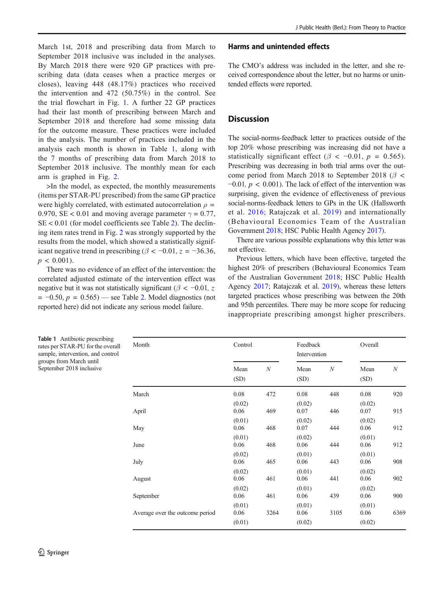March 1st, 2018 and prescribing data from March to September 2018 inclusive was included in the analyses. By March 2018 there were 920 GP practices with prescribing data (data ceases when a practice merges or closes), leaving 448 (48.17%) practices who received the intervention and 472 (50.75%) in the control. See the trial flowchart in Fig. [1](#page-4-0). A further 22 GP practices had their last month of prescribing between March and September 2018 and therefore had some missing data for the outcome measure. These practices were included in the analysis. The number of practices included in the analysis each month is shown in Table 1, along with the 7 months of prescribing data from March 2018 to September 2018 inclusive. The monthly mean for each arm is graphed in Fig. [2](#page-4-0).

>In the model, as expected, the monthly measurements (items per STAR-PU prescribed) from the same GP practice were highly correlated, with estimated autocorrelation  $\rho =$ 0.970, SE < 0.01 and moving average parameter  $\gamma = 0.77$ ,  $SE < 0.01$  (for model coefficients see Table [2\)](#page-5-0). The declining item rates trend in Fig. [2](#page-4-0) was strongly supported by the results from the model, which showed a statistically significant negative trend in prescribing ( $\beta$  < -0.01, z = -36.36,  $p < 0.001$ ).

There was no evidence of an effect of the intervention: the correlated adjusted estimate of the intervention effect was negative but it was not statistically significant ( $\beta$  < -0.01, z  $= -0.50, p = 0.565$ ) — see Table [2.](#page-5-0) Model diagnostics (not reported here) did not indicate any serious model failure.

#### Harms and unintended effects

The CMO's address was included in the letter, and she received correspondence about the letter, but no harms or unintended effects were reported.

# **Discussion**

The social-norms-feedback letter to practices outside of the top 20% whose prescribing was increasing did not have a statistically significant effect ( $\beta < -0.01$ ,  $p = 0.565$ ). Prescribing was decreasing in both trial arms over the outcome period from March 2018 to September 2018 ( $\beta$  <  $-0.01$ ,  $p < 0.001$ ). The lack of effect of the intervention was surprising, given the evidence of effectiveness of previous social-norms-feedback letters to GPs in the UK (Hallsworth et al. [2016;](#page-6-0) Ratajczak et al. [2019\)](#page-7-0) and internationally (Behavioural Economics Team of the Australian Government [2018;](#page-6-0) HSC Public Health Agency [2017](#page-6-0)).

There are various possible explanations why this letter was not effective.

Previous letters, which have been effective, targeted the highest 20% of prescribers (Behavioural Economics Team of the Australian Government [2018;](#page-6-0) HSC Public Health Agency [2017](#page-6-0); Ratajczak et al. [2019](#page-7-0)), whereas these letters targeted practices whose prescribing was between the 20th and 95th percentiles. There may be more scope for reducing inappropriate prescribing amongst higher prescribers.

Table 1 Antibiotic prescribing rates per STAR-PU for the overall sample, intervention, and control groups from March until September 2018 inclusive

| Month                           | Control                  |            | Feedback<br>Intervention |            | Overall                  |            |
|---------------------------------|--------------------------|------------|--------------------------|------------|--------------------------|------------|
|                                 | Mean<br>(SD)             | N          | Mean<br>(SD)             | N          | Mean<br>(SD)             | N          |
| March<br>April                  | 0.08<br>(0.02)<br>0.06   | 472<br>469 | 0.08<br>(0.02)<br>0.07   | 448<br>446 | 0.08<br>(0.02)<br>0.07   | 920<br>915 |
| May                             | (0.01)<br>0.06           | 468        | (0.02)<br>0.07           | 444        | (0.02)<br>0.06           | 912        |
| June                            | (0.01)<br>0.06           | 468        | (0.02)<br>0.06           | 444        | (0.01)<br>0.06           | 912        |
| July                            | (0.02)<br>0.06           | 465        | (0.01)<br>0.06           | 443        | (0.01)<br>0.06           | 908        |
| August                          | (0.02)<br>0.06           | 461        | (0.01)<br>0.06           | 441        | (0.02)<br>0.06           | 902        |
| September                       | (0.02)<br>0.06<br>(0.01) | 461        | (0.01)<br>0.06<br>(0.01) | 439        | (0.02)<br>0.06           | 900        |
| Average over the outcome period | 0.06<br>(0.01)           | 3264       | 0.06<br>(0.02)           | 3105       | (0.01)<br>0.06<br>(0.02) | 6369       |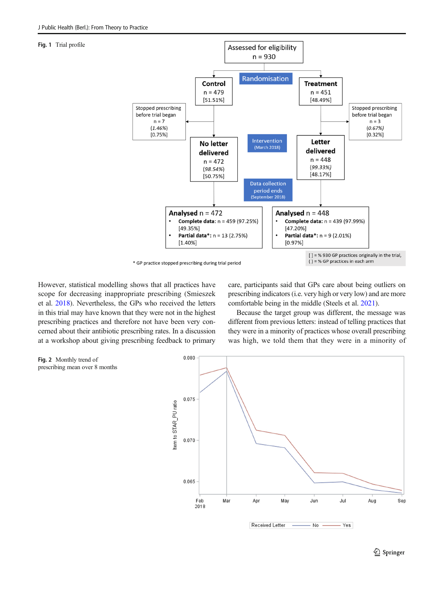#### <span id="page-4-0"></span>Fig. 1 Trial profile



However, statistical modelling shows that all practices have scope for decreasing inappropriate prescribing (Smieszek et al. [2018\)](#page-7-0). Nevertheless, the GPs who received the letters in this trial may have known that they were not in the highest prescribing practices and therefore not have been very concerned about their antibiotic prescribing rates. In a discussion at a workshop about giving prescribing feedback to primary care, participants said that GPs care about being outliers on prescribing indicators (i.e. very high or very low) and are more comfortable being in the middle (Steels et al. [2021\)](#page-7-0).

Because the target group was different, the message was different from previous letters: instead of telling practices that they were in a minority of practices whose overall prescribing was high, we told them that they were in a minority of

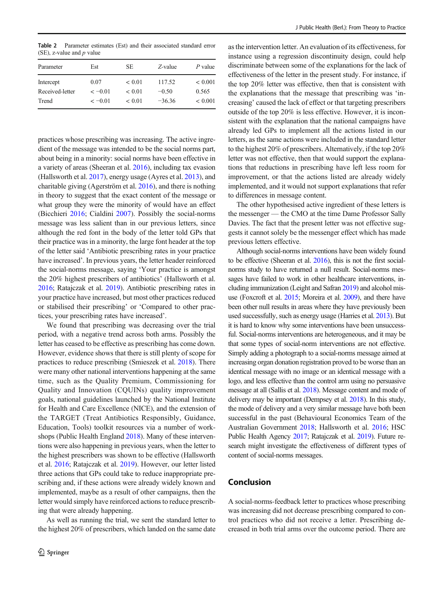<span id="page-5-0"></span>Table 2 Parameter estimates (Est) and their associated standard error (SE), z-value and  $p$  value

| Parameter       | Est      | SE.         | Z-value  | P value     |
|-----------------|----------|-------------|----------|-------------|
| Intercept       | 0.07     | ${}< 0.01$  | 117.52   | ${}< 0.001$ |
| Received-letter | $<-0.01$ | < 0.01      | $-0.50$  | 0.565       |
| Trend           | $<-0.01$ | ${}_{0.01}$ | $-36.36$ | ${}< 0.001$ |
|                 |          |             |          |             |

practices whose prescribing was increasing. The active ingredient of the message was intended to be the social norms part, about being in a minority: social norms have been effective in a variety of areas (Sheeran et al. [2016\)](#page-7-0), including tax evasion (Hallsworth et al. [2017](#page-6-0)), energy usage (Ayres et al. [2013](#page-6-0)), and charitable giving (Agerström et al. [2016](#page-6-0)), and there is nothing in theory to suggest that the exact content of the message or what group they were the minority of would have an effect (Bicchieri [2016;](#page-6-0) Cialdini [2007\)](#page-6-0). Possibly the social-norms message was less salient than in our previous letters, since although the red font in the body of the letter told GPs that their practice was in a minority, the large font header at the top of the letter said 'Antibiotic prescribing rates in your practice have increased'. In previous years, the letter header reinforced the social-norms message, saying 'Your practice is amongst the 20% highest prescribers of antibiotics' (Hallsworth et al. [2016;](#page-6-0) Ratajczak et al. [2019](#page-7-0)). Antibiotic prescribing rates in your practice have increased, but most other practices reduced or stabilised their prescribing' or 'Compared to other practices, your prescribing rates have increased'.

We found that prescribing was decreasing over the trial period, with a negative trend across both arms. Possibly the letter has ceased to be effective as prescribing has come down. However, evidence shows that there is still plenty of scope for practices to reduce prescribing (Smieszek et al. [2018](#page-7-0)). There were many other national interventions happening at the same time, such as the Quality Premium, Commissioning for Quality and Innovation (CQUINs) quality improvement goals, national guidelines launched by the National Institute for Health and Care Excellence (NICE), and the extension of the TARGET (Treat Antibiotics Responsibly, Guidance, Education, Tools) toolkit resources via a number of workshops (Public Health England [2018](#page-7-0)). Many of these interventions were also happening in previous years, when the letter to the highest prescribers was shown to be effective (Hallsworth et al. [2016;](#page-6-0) Ratajczak et al. [2019\)](#page-7-0). However, our letter listed three actions that GPs could take to reduce inappropriate prescribing and, if these actions were already widely known and implemented, maybe as a result of other campaigns, then the letter would simply have reinforced actions to reduce prescribing that were already happening.

As well as running the trial, we sent the standard letter to the highest 20% of prescribers, which landed on the same date

as the intervention letter. An evaluation of its effectiveness, for instance using a regression discontinuity design, could help discriminate between some of the explanations for the lack of effectiveness of the letter in the present study. For instance, if the top 20% letter was effective, then that is consistent with the explanations that the message that prescribing was 'increasing' caused the lack of effect or that targeting prescribers outside of the top 20% is less effective. However, it is inconsistent with the explanation that the national campaigns have already led GPs to implement all the actions listed in our letters, as the same actions were included in the standard letter to the highest 20% of prescribers. Alternatively, if the top 20% letter was not effective, then that would support the explanations that reductions in prescribing have left less room for improvement, or that the actions listed are already widely implemented, and it would not support explanations that refer to differences in message content.

The other hypothesised active ingredient of these letters is the messenger — the CMO at the time Dame Professor Sally Davies. The fact that the present letter was not effective suggests it cannot solely be the messenger effect which has made previous letters effective.

Although social-norms interventions have been widely found to be effective (Sheeran et al. [2016](#page-7-0)), this is not the first socialnorms study to have returned a null result. Social-norms messages have failed to work in other healthcare interventions, including immunization (Leight and Safran [2019](#page-7-0)) and alcohol misuse (Foxcroft et al. [2015](#page-6-0); Moreira et al. [2009\)](#page-7-0), and there have been other null results in areas where they have previously been used successfully, such as energy usage (Harries et al. [2013](#page-6-0)). But it is hard to know why some interventions have been unsuccessful. Social-norms interventions are heterogeneous, and it may be that some types of social-norm interventions are not effective. Simply adding a photograph to a social-norms message aimed at increasing organ donation registration proved to be worse than an identical message with no image or an identical message with a logo, and less effective than the control arm using no persuasive message at all (Sallis et al. [2018\)](#page-7-0). Message content and mode of delivery may be important (Dempsey et al. [2018\)](#page-6-0). In this study, the mode of delivery and a very similar message have both been successful in the past (Behavioural Economics Team of the Australian Government [2018;](#page-6-0) Hallsworth et al. [2016;](#page-6-0) HSC Public Health Agency [2017](#page-6-0); Ratajczak et al. [2019](#page-7-0)). Future research might investigate the effectiveness of different types of content of social-norms messages.

## Conclusion

A social-norms-feedback letter to practices whose prescribing was increasing did not decrease prescribing compared to control practices who did not receive a letter. Prescribing decreased in both trial arms over the outcome period. There are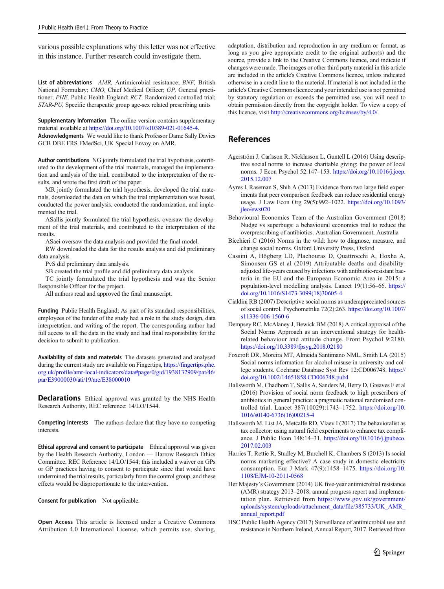<span id="page-6-0"></span>various possible explanations why this letter was not effective in this instance. Further research could investigate them.

List of abbreviations AMR, Antimicrobial resistance; BNF, British National Formulary; CMO, Chief Medical Officer; GP, General practitioner; PHE, Public Health England; RCT, Randomized controlled trial; STAR-PU, Specific therapeutic group age-sex related prescribing units

Supplementary Information The online version contains supplementary material available at <https://doi.org/10.1007/s10389-021-01645-4>. Acknowledgments We would like to thank Professor Dame Sally Davies GCB DBE FRS FMedSci, UK Special Envoy on AMR.

Author contributions NG jointly formulated the trial hypothesis, contributed to the development of the trial materials, managed the implementation and analysis of the trial, contributed to the interpretation of the results, and wrote the first draft of the paper.

MR jointly formulated the trial hypothesis, developed the trial materials, downloaded the data on which the trial implementation was based, conducted the power analysis, conducted the randomization, and implemented the trial.

ASallis jointly formulated the trial hypothesis, oversaw the development of the trial materials, and contributed to the interpretation of the results.

ASaei oversaw the data analysis and provided the final model.

RW downloaded the data for the results analysis and did preliminary data analysis.

PvS did preliminary data analysis.

SB created the trial profile and did preliminary data analysis.

TC jointly formulated the trial hypothesis and was the Senior Responsible Officer for the project.

All authors read and approved the final manuscript.

Funding Public Health England; As part of its standard responsibilities, employees of the funder of the study had a role in the study design, data interpretation, and writing of the report. The corresponding author had full access to all the data in the study and had final responsibility for the decision to submit to publication.

Availability of data and materials The datasets generated and analysed during the current study are available on Fingertips, [https://fingertips.phe.](https://fingertips.phe.org.uk/profile/amr-local-indicators/data#page/0/gid/1938132909/pat/46/par/E39000030/ati/19/are/E38000010) [org.uk/profile/amr-local-indicators/data#page/0/gid/1938132909/pat/46/](https://fingertips.phe.org.uk/profile/amr-local-indicators/data#page/0/gid/1938132909/pat/46/par/E39000030/ati/19/are/E38000010) [par/E39000030/ati/19/are/E38000010](https://fingertips.phe.org.uk/profile/amr-local-indicators/data#page/0/gid/1938132909/pat/46/par/E39000030/ati/19/are/E38000010)

**Declarations** Ethical approval was granted by the NHS Health Research Authority, REC reference: 14/LO/1544.

Competing interests The authors declare that they have no competing interests.

Ethical approval and consent to participate Ethical approval was given by the Health Research Authority, London — Harrow Research Ethics Committee, REC Reference 14/LO/1544; this included a waiver on GPs or GP practices having to consent to participate since that would have undermined the trial results, particularly from the control group, and these effects would be disproportionate to the intervention.

Consent for publication Not applicable.

Open Access This article is licensed under a Creative Commons Attribution 4.0 International License, which permits use, sharing,

adaptation, distribution and reproduction in any medium or format, as long as you give appropriate credit to the original author(s) and the source, provide a link to the Creative Commons licence, and indicate if changes were made. The images or other third party material in this article are included in the article's Creative Commons licence, unless indicated otherwise in a credit line to the material. If material is not included in the article's Creative Commons licence and your intended use is not permitted by statutory regulation or exceeds the permitted use, you will need to obtain permission directly from the copyright holder. To view a copy of this licence, visit <http://creativecommons.org/licenses/by/4.0/>.

## References

- Agerström J, Carlsson R, Nicklasson L, Guntell L (2016) Using descriptive social norms to increase charitable giving: the power of local norms. J Econ Psychol 52:147–153. [https://doi.org/10.1016/j.joep.](https://doi.org/10.1016/j.joep.2015.12.007) [2015.12.007](https://doi.org/10.1016/j.joep.2015.12.007)
- Ayres I, Raseman S, Shih A (2013) Evidence from two large field experiments that peer comparison feedback can reduce residential energy usage. J Law Econ Org 29(5):992–1022. [https://doi.org/10.1093/](https://doi.org/10.1093/jleo/ews020) [jleo/ews020](https://doi.org/10.1093/jleo/ews020)
- Behavioural Economics Team of the Australian Government (2018) Nudge vs superbugs: a behavioural economics trial to reduce the overprescribing of antibiotics. Australian Government, Australia
- Bicchieri C (2016) Norms in the wild: how to diagnose, measure, and change social norms. Oxford University Press, Oxford
- Cassini A, Högberg LD, Plachouras D, Quattrocchi A, Hoxha A, Simonsen GS et al (2019) Attributable deaths and disabilityadjusted life-years caused by infections with antibiotic-resistant bacteria in the EU and the European Economic Area in 2015: a population-level modelling analysis. Lancet 19(1):56–66. [https://](https://doi.org/10.1016/S1473-3099(18)30605-4) [doi.org/10.1016/S1473-3099\(18\)30605-4](https://doi.org/10.1016/S1473-3099(18)30605-4)
- Cialdini RB (2007) Descriptive social norms as underappreciated sources of social control. Psychometrika 72(2):263. [https://doi.org/10.1007/](https://doi.org/10.1007/s11336-006-1560-6) [s11336-006-1560-6](https://doi.org/10.1007/s11336-006-1560-6)
- Dempsey RC, McAlaney J, Bewick BM (2018) A critical appraisal of the Social Norms Approach as an interventional strategy for healthrelated behaviour and attitude change. Front Psychol 9:2180. <https://doi.org/10.3389/fpsyg.2018.02180>
- Foxcroft DR, Moreira MT, Almeida Santimano NML, Smith LA (2015) Social norms information for alcohol misuse in university and college students. Cochrane Database Syst Rev 12:CD006748. [https://](https://doi.org/10.1002/14651858.CD006748.pub4) [doi.org/10.1002/14651858.CD006748.pub4](https://doi.org/10.1002/14651858.CD006748.pub4)
- Hallsworth M, Chadborn T, Sallis A, Sanders M, Berry D, Greaves F et al (2016) Provision of social norm feedback to high prescribers of antibiotics in general practice: a pragmatic national randomised controlled trial. Lancet 387(10029):1743–1752. [https://doi.org/10.](https://doi.org/10.1016/s0140-6736(16)00215-4) [1016/s0140-6736\(16\)00215-4](https://doi.org/10.1016/s0140-6736(16)00215-4)
- Hallsworth M, List JA, Metcalfe RD, Vlaev I (2017) The behavioralist as tax collector: using natural field experiments to enhance tax compliance. J Public Econ 148:14–31. [https://doi.org/10.1016/j.jpubeco.](https://doi.org/10.1016/j.jpubeco.2017.02.003) [2017.02.003](https://doi.org/10.1016/j.jpubeco.2017.02.003)
- Harries T, Rettie R, Studley M, Burchell K, Chambers S (2013) Is social norms marketing effective? A case study in domestic electricity consumption. Eur J Mark 47(9):1458–1475. [https://doi.org/10.](https://doi.org/10.1108/EJM-10-2011-0568) [1108/EJM-10-2011-0568](https://doi.org/10.1108/EJM-10-2011-0568)
- Her Majesty's Government (2014) UK five-year antimicrobial resistance (AMR) strategy 2013–2018: annual progress report and implementation plan. Retrieved from [https://www.gov.uk/government/](https://www.gov.uk/government/uploads/system/uploads/attachment_data/file/385733/UK_AMR_annual_report.pdf) [uploads/system/uploads/attachment\\_data/file/385733/UK\\_AMR\\_](https://www.gov.uk/government/uploads/system/uploads/attachment_data/file/385733/UK_AMR_annual_report.pdf) annual report.pdf
- HSC Public Health Agency (2017) Surveillance of antimicrobial use and resistance in Northern Ireland, Annual Report, 2017. Retrieved from